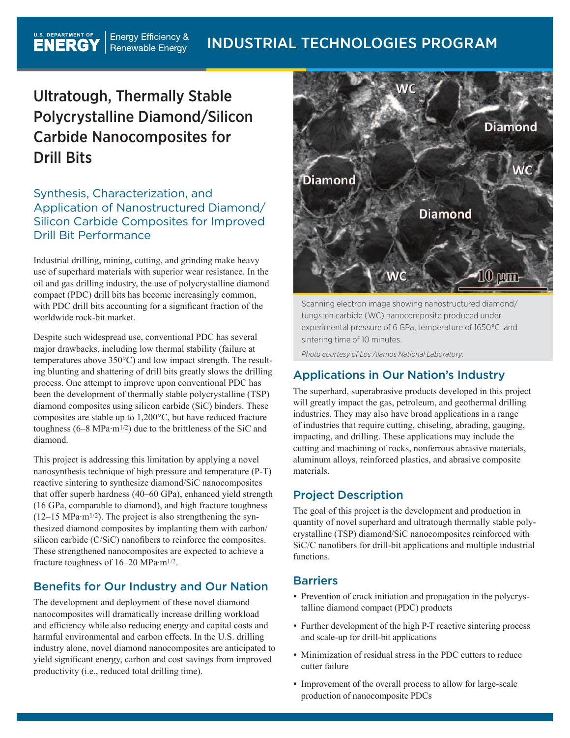# Ultratough, Thermally Stable Polycrystalline Diamond/Silicon Carbide Nanocomposites for Drill Bits

# Synthesis, Characterization, and Application of Nanostructured Diamond/ Silicon Carbide Composites for Improved Drill Bit Performance

Industrial drilling, mining, cutting, and grinding make heavy use of superhard materials with superior wear resistance. In the oil and gas drilling industry, the use of polycrystalline diamond compact (PDC) drill bits has become increasingly common, with PDC drill bits accounting for a significant fraction of the worldwide rock-bit market.

Despite such widespread use, conventional PDC has several major drawbacks, including low thermal stability (failure at temperatures above 350°C) and low impact strength. The resulting blunting and shattering of drill bits greatly slows the drilling process. One attempt to improve upon conventional PDC has been the development of thermally stable polycrystalline (TSP) diamond composites using silicon carbide (SiC) binders. These composites are stable up to 1,200°C, but have reduced fracture toughness  $(6-8 \text{ MPa} \cdot \text{m}^{1/2})$  due to the brittleness of the SiC and diamond.

This project is addressing this limitation by applying a novel nanosynthesis technique of high pressure and temperature (P-T) reactive sintering to synthesize diamond/SiC nanocomposites that offer superb hardness (40–60 GPa), enhanced yield strength (16 GPa, comparable to diamond), and high fracture toughness  $(12-15 \text{ MPa} \cdot \text{m}^{1/2})$ . The project is also strengthening the synthesized diamond composites by implanting them with carbon/ silicon carbide (C/SiC) nanofibers to reinforce the composites. These strengthened nanocomposites are expected to achieve a fracture toughness of 16–20 MPa·m1/2.

# Benefits for Our Industry and Our Nation

The development and deployment of these novel diamond nanocomposites will dramatically increase drilling workload and efficiency while also reducing energy and capital costs and harmful environmental and carbon effects. In the U.S. drilling industry alone, novel diamond nanocomposites are anticipated to yield significant energy, carbon and cost savings from improved productivity (i.e., reduced total drilling time).



Scanning electron image showing nanostructured diamond/ tungsten carbide (WC) nanocomposite produced under experimental pressure of 6 GPa, temperature of 1650°C, and sintering time of 10 minutes.

*Photo courtesy of Los Alamos National Laboratory.*

# Applications in Our Nation's Industry

The superhard, superabrasive products developed in this project will greatly impact the gas, petroleum, and geothermal drilling industries. They may also have broad applications in a range of industries that require cutting, chiseling, abrading, gauging, impacting, and drilling. These applications may include the cutting and machining of rocks, nonferrous abrasive materials, aluminum alloys, reinforced plastics, and abrasive composite materials.

# Project Description

The goal of this project is the development and production in quantity of novel superhard and ultratough thermally stable polycrystalline (TSP) diamond/SiC nanocomposites reinforced with SiC/C nanofibers for drill-bit applications and multiple industrial functions.

## Barriers

- Prevention of crack initiation and propagation in the polycrystalline diamond compact (PDC) products
- Further development of the high P-T reactive sintering process and scale-up for drill-bit applications
- Minimization of residual stress in the PDC cutters to reduce cutter failure
- Improvement of the overall process to allow for large-scale production of nanocomposite PDCs